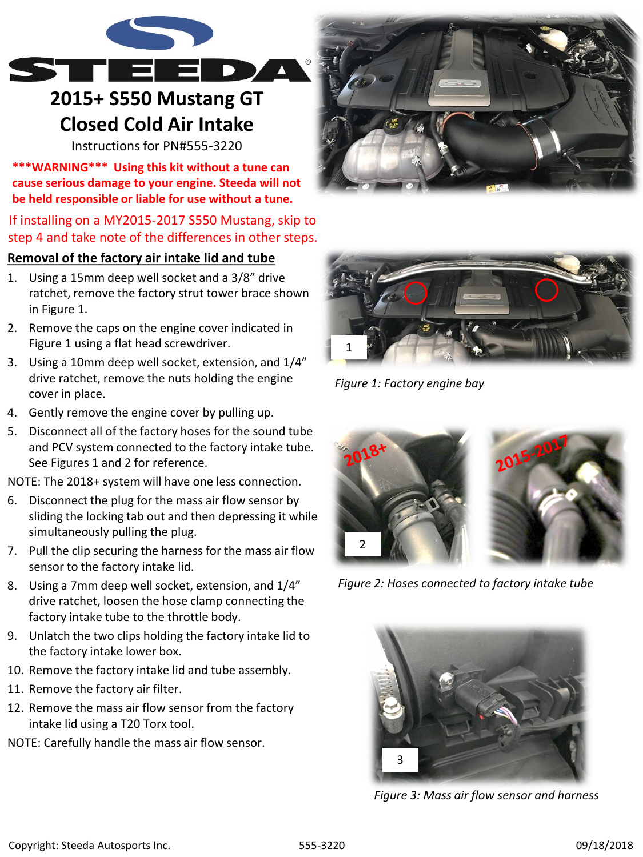

# **2015+ S550 Mustang GT Closed Cold Air Intake**

Instructions for PN#555-3220

**\*\*\*WARNING\*\*\* Using this kit without a tune can cause serious damage to your engine. Steeda will not be held responsible or liable for use without a tune.**

## If installing on a MY2015-2017 S550 Mustang, skip to step 4 and take note of the differences in other steps.

## **Removal of the factory air intake lid and tube**

- 1. Using a 15mm deep well socket and a 3/8" drive ratchet, remove the factory strut tower brace shown in Figure 1.
- 2. Remove the caps on the engine cover indicated in Figure 1 using a flat head screwdriver.
- 3. Using a 10mm deep well socket, extension, and 1/4" drive ratchet, remove the nuts holding the engine cover in place.
- 4. Gently remove the engine cover by pulling up.
- 5. Disconnect all of the factory hoses for the sound tube and PCV system connected to the factory intake tube. See Figures 1 and 2 for reference.

NOTE: The 2018+ system will have one less connection.

- 6. Disconnect the plug for the mass air flow sensor by sliding the locking tab out and then depressing it while simultaneously pulling the plug.
- 7. Pull the clip securing the harness for the mass air flow sensor to the factory intake lid.
- 8. Using a 7mm deep well socket, extension, and 1/4" drive ratchet, loosen the hose clamp connecting the factory intake tube to the throttle body.
- 9. Unlatch the two clips holding the factory intake lid to the factory intake lower box.
- 10. Remove the factory intake lid and tube assembly.
- 11. Remove the factory air filter.
- 12. Remove the mass air flow sensor from the factory intake lid using a T20 Torx tool.
- NOTE: Carefully handle the mass air flow sensor.





*Figure 1: Factory engine bay*



*Figure 2: Hoses connected to factory intake tube*



*Figure 3: Mass air flow sensor and harness*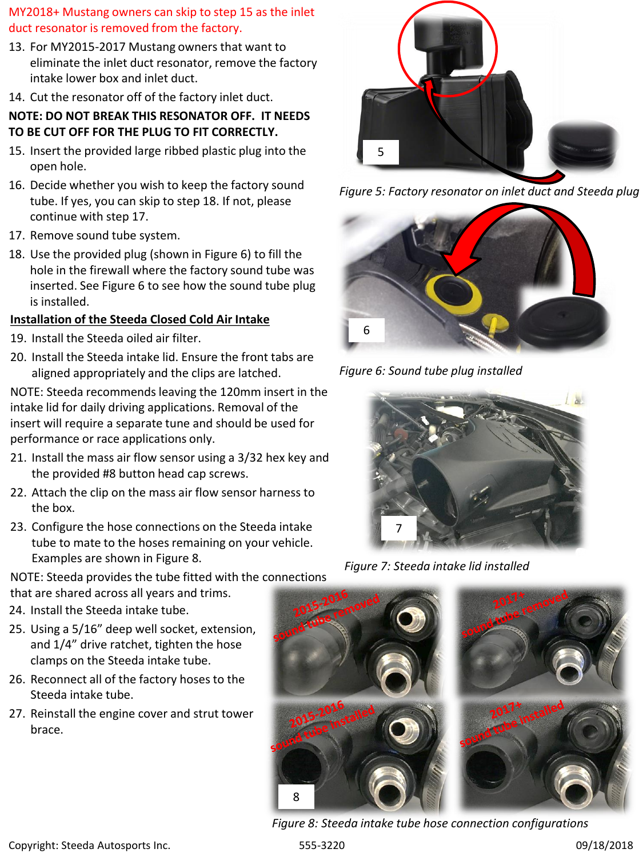#### MY2018+ Mustang owners can skip to step 15 as the inlet duct resonator is removed from the factory.

- 13. For MY2015-2017 Mustang owners that want to eliminate the inlet duct resonator, remove the factory intake lower box and inlet duct.
- 14. Cut the resonator off of the factory inlet duct.

#### **NOTE: DO NOT BREAK THIS RESONATOR OFF. IT NEEDS TO BE CUT OFF FOR THE PLUG TO FIT CORRECTLY.**

- 15. Insert the provided large ribbed plastic plug into the open hole.
- 16. Decide whether you wish to keep the factory sound tube. If yes, you can skip to step 18. If not, please continue with step 17.
- 17. Remove sound tube system.
- 18. Use the provided plug (shown in Figure 6) to fill the hole in the firewall where the factory sound tube was inserted. See Figure 6 to see how the sound tube plug is installed.

## **Installation of the Steeda Closed Cold Air Intake**

- 19. Install the Steeda oiled air filter.
- 20. Install the Steeda intake lid. Ensure the front tabs are aligned appropriately and the clips are latched.

NOTE: Steeda recommends leaving the 120mm insert in the intake lid for daily driving applications. Removal of the insert will require a separate tune and should be used for performance or race applications only.

- 21. Install the mass air flow sensor using a 3/32 hex key and the provided #8 button head cap screws.
- 22. Attach the clip on the mass air flow sensor harness to the box.
- 23. Configure the hose connections on the Steeda intake tube to mate to the hoses remaining on your vehicle. Examples are shown in Figure 8.

NOTE: Steeda provides the tube fitted with the connections that are shared across all years and trims.

- 24. Install the Steeda intake tube.
- 25. Using a 5/16" deep well socket, extension, and 1/4" drive ratchet, tighten the hose clamps on the Steeda intake tube.
- 26. Reconnect all of the factory hoses to the Steeda intake tube.
- 27. Reinstall the engine cover and strut tower brace.



*Figure 5: Factory resonator on inlet duct and Steeda plug*



*Figure 6: Sound tube plug installed*



*Figure 7: Steeda intake lid installed*



*Figure 8: Steeda intake tube hose connection configurations*